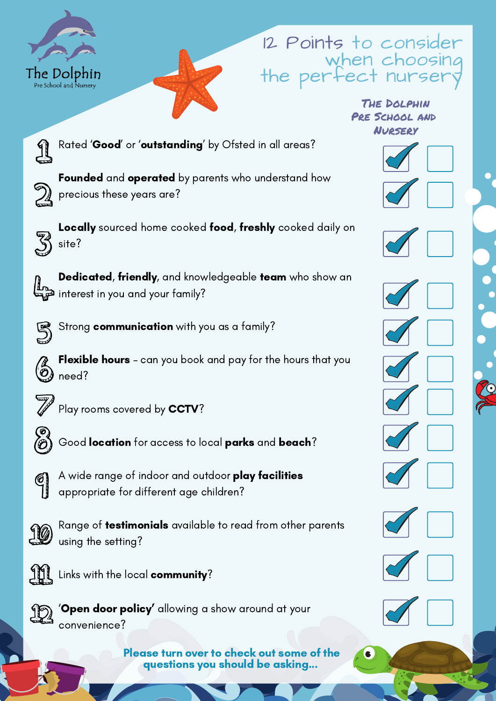

## 12 Points to consider when choosing the perfect nur

#### The Dolphin Pre School and Nursery



Rated 'Good' or 'outstanding' by Ofsted in all areas?



Founded and operated by parents who understand how precious these years are?



Locally sourced home cooked food, freshly cooked daily on site?



Dedicated, friendly, and knowledgeable team who show an interest in you and your family?



Strong **communication** with you as a family?

Flexible hours - can you book and pay for the hours that you need?



Play rooms covered by CCTV?



Good location for access to local parks and beach?



A wide range of indoor and outdoor **play facilities** appropriate for different age children?



Range of **testimonials** available to read from other parents using the setting?



**Links with the local community?** 



'Open door policy' allowing a show around at your convenience?

> Please turn over to check out some of the questions you should be asking...

















C.